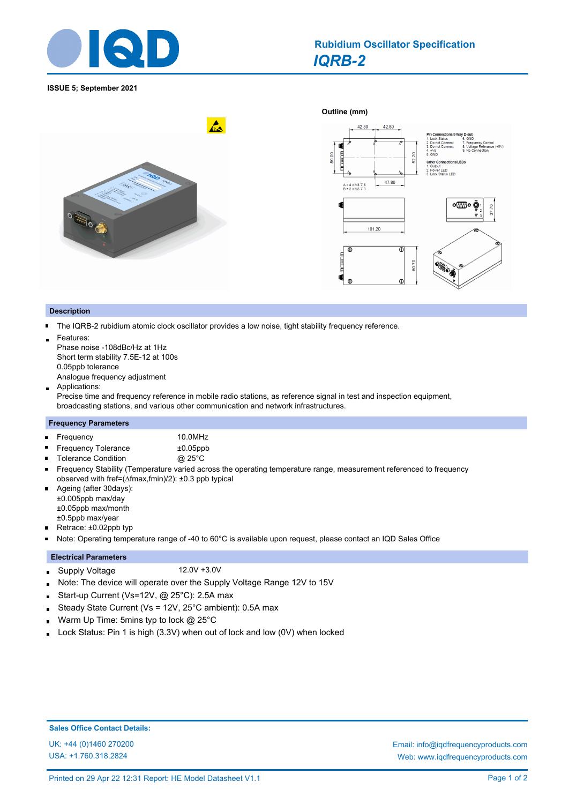

**ISSUE 5; September 2021**

#### **Outline (mm)**   $\mathbf{A}$ 42.80 2. Do not Con<br>3. Do not Con ď  $+5V$ 50.00 52.20 Other Co 1. Output<br>2. Power LED<br>3. Lock Status LED 47.80  $A = 4 \times M3 \pm 6$ <br> $B = 2 \times M3 \pm 3$ **。** Õ ς 57.  $101.20$  $\overline{\Phi}$  $\mathbf 0$ **Manu** 60.70 q  $\mathbf C$

### **Description**

The IQRB-2 rubidium atomic clock oscillator provides a low noise, tight stability frequency reference.  $\blacksquare$ 

Features:

Phase noise -108dBc/Hz at 1Hz Short term stability 7.5E-12 at 100s 0.05ppb tolerance Analogue frequency adjustment

Applications:  $\blacksquare$ 

Precise time and frequency reference in mobile radio stations, as reference signal in test and inspection equipment, broadcasting stations, and various other communication and network infrastructures.

#### **Frequency Parameters**

| ■ Frequency                | 10.0MHz     |
|----------------------------|-------------|
| <b>Frequency Tolerance</b> | $±0.05$ ppb |

- Tolerance Condition **@ 25°C**
- $\blacksquare$ Frequency Stability (Temperature varied across the operating temperature range, measurement referenced to frequency observed with fref=(∆fmax,fmin)/2): ±0.3 ppb typical
- Ageing (after 30days):  $\blacksquare$ ±0.005ppb max/day ±0.05ppb max/month ±0.5ppb max/year
- $\blacksquare$ Retrace: ±0.02ppb typ
- Note: Operating temperature range of -40 to 60°C is available upon request, please contact an IQD Sales Office  $\blacksquare$

# **Electrical Parameters**

- Supply Voltage 12.0V +3.0V  $\blacksquare$
- Note: The device will operate over the Supply Voltage Range 12V to 15V
- Start-up Current (Vs=12V, @ 25°C): 2.5A max  $\blacksquare$
- Steady State Current (Vs = 12V, 25°C ambient): 0.5A max Ė
- Warm Up Time: 5mins typ to lock @ 25°C  $\blacksquare$
- Lock Status: Pin 1 is high (3.3V) when out of lock and low (0V) when locked ä.

# **Sales Office Contact Details:**

USA: +1.760.318.2824

UK: +44 (0)1460 270200 Email: info@iqdfrequencyproducts.com Web: www.iqdfrequencyproducts.com